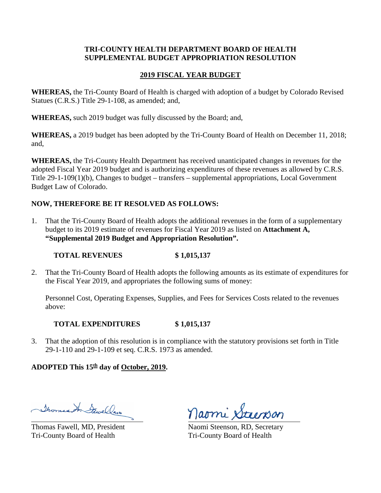## **TRI-COUNTY HEALTH DEPARTMENT BOARD OF HEALTH SUPPLEMENTAL BUDGET APPROPRIATION RESOLUTION**

## **2019 FISCAL YEAR BUDGET**

**WHEREAS,** the Tri-County Board of Health is charged with adoption of a budget by Colorado Revised Statues (C.R.S.) Title 29-1-108, as amended; and,

**WHEREAS,** such 2019 budget was fully discussed by the Board; and,

**WHEREAS,** a 2019 budget has been adopted by the Tri-County Board of Health on December 11, 2018; and,

**WHEREAS,** the Tri-County Health Department has received unanticipated changes in revenues for the adopted Fiscal Year 2019 budget and is authorizing expenditures of these revenues as allowed by C.R.S. Title 29-1-109(1)(b), Changes to budget – transfers – supplemental appropriations, Local Government Budget Law of Colorado.

# **NOW, THEREFORE BE IT RESOLVED AS FOLLOWS:**

1. That the Tri-County Board of Health adopts the additional revenues in the form of a supplementary budget to its 2019 estimate of revenues for Fiscal Year 2019 as listed on **Attachment A, "Supplemental 2019 Budget and Appropriation Resolution".**

## **TOTAL REVENUES \$ 1,015,137**

2. That the Tri-County Board of Health adopts the following amounts as its estimate of expenditures for the Fiscal Year 2019, and appropriates the following sums of money:

Personnel Cost, Operating Expenses, Supplies, and Fees for Services Costs related to the revenues above:

## **TOTAL EXPENDITURES \$ 1,015,137**

3. That the adoption of this resolution is in compliance with the statutory provisions set forth in Title 29-1-110 and 29-1-109 et seq. C.R.S. 1973 as amended.

# ADOPTED This  $15<sup>th</sup>$  day of October, 2019.

Thomas An Sawelland

Thomas Fawell, MD, President Naomi Steenson, RD, Secretary Tri-County Board of Health Tri-County Board of Health

naomi Staenson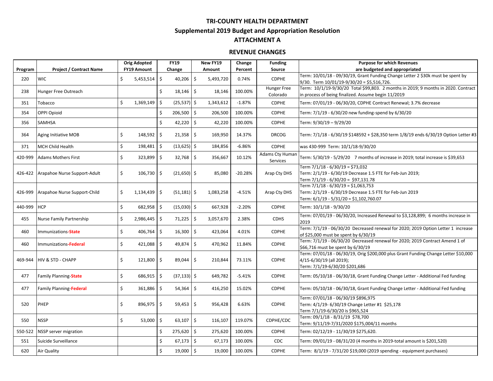### **TRI-COUNTY HEALTH DEPARTMENT**

**Supplemental 2019 Budget and Appropriation Resolution**

## **ATTACHMENT A**

### **REVENUE CHANGES**

|             |                                      | <b>Orig Adopted</b> |                | <b>FY19</b> |                | New FY19 |           | Change    | <b>Funding</b>              | <b>Purpose for which Revenues</b>                                                                                                                 |
|-------------|--------------------------------------|---------------------|----------------|-------------|----------------|----------|-----------|-----------|-----------------------------|---------------------------------------------------------------------------------------------------------------------------------------------------|
| Program     | <b>Project / Contract Name</b>       | <b>FY19 Amount</b>  |                | Change      |                | Amount   |           | Percent   | Source                      | are budgeted and appropriated                                                                                                                     |
| 220         | <b>WIC</b>                           | \$                  | $5,453,514$ \$ |             | $40,206$ \$    |          | 5,493,720 | 0.74%     | <b>CDPHE</b>                | Term: 10/01/18 - 09/30/19, Grant Funding Change Letter 2 \$30k must be spent by<br>9/30. Term 10/01/19-9/30/20 = \$5,516,726.                     |
| 238         | Hunger Free Outreach                 |                     |                | Ś.          | $18,146$ \$    |          | 18,146    | 100.00%   | Hunger Free<br>Colorado     | Term: 10/1/19-9/30/20 Total \$99,803. 2 months in 2019; 9 months in 2020. Contract<br>in process of being finalized. Assume begin 11/2019         |
| 351         | Tobacco                              | \$                  | 1,369,149      | \$          | $(25,537)$ \$  |          | 1,343,612 | $-1.87%$  | <b>CDPHE</b>                | Term: 07/01/19 - 06/30/20, CDPHE Contract Renewal; 3.7% decrease                                                                                  |
| 354         | OPPI Opioid                          |                     |                | Ś.          | $206,500$ \$   |          | 206,500   | 100.00%   | <b>CDPHE</b>                | Term: 7/1/19 - 6/30/20 new funding-spend by 6/30/20                                                                                               |
| 356         | SAMHSA                               |                     |                | Ś.          | 42,220         | \$       | 42,220    | 100.00%   | <b>CDPHE</b>                | Term: 9/30/19 - 9/29/20                                                                                                                           |
| 364         | Aging Initiative MOB                 | \$                  | $148,592$ \$   |             | $21,358$ \$    |          | 169,950   | 14.37%    | <b>DRCOG</b>                | Term: 7/1/18 - 6/30/19 \$148592 + \$28,350 term 1/8/19 ends 6/30/19 Option Letter #3                                                              |
| 371         | <b>MCH Child Health</b>              | \$                  | 198,481        | \$          | $(13,625)$ \$  |          | 184,856   | $-6.86%$  | <b>CDPHE</b>                | was 430-999 Term: 10/1/18-9/30/20                                                                                                                 |
| 420-999     | <b>Adams Mothers First</b>           | \$                  | 323,899 \$     |             | $32,768$ \$    |          | 356,667   | 10.12%    | Adams Cty Human<br>Services | Term: 5/30/19 - 5/29/20 7 months of increase in 2019; total increase is \$39,653                                                                  |
|             | 426-422 Arapahoe Nurse Support-Adult | \$                  | $106,730$ \$   |             | $(21,650)$ \$  |          | 85,080    | $-20.28%$ | Arap Cty DHS                | Term 7/1/18 - 6/30/19 = \$73,032<br>Term: 2/1/19 - 6/30/19 Decrease 1.5 FTE for Feb-Jun 2019;<br>Term 7/1/19 - 6/30/20 = \$97,131.78              |
|             | 426-999 Arapahoe Nurse Support-Child | \$                  | $1,134,439$ \$ |             | $(51, 181)$ \$ |          | 1,083,258 | $-4.51%$  | Arap Cty DHS                | Term 7/1/18 - 6/30/19 = \$1,063,753<br>Term: 2/1/19 - 6/30/19 Decrease 1.5 FTE for Feb-Jun 2019<br>Term: 6/1/19 - 5/31/20 = \$1,102,760.07        |
| 440-999 HCP |                                      | \$                  | 682,958        | l \$        | $(15,030)$ \$  |          | 667,928   | $-2.20%$  | <b>CDPHE</b>                | Term: 10/1/18 - 9/30/20                                                                                                                           |
| 455         | Nurse Family Partnership             | \$                  | 2,986,445 \$   |             | $71,225$ \$    |          | 3,057,670 | 2.38%     | <b>CDHS</b>                 | Term: 07/01/19 - 06/30/20, Increased Renewal to \$3,128,899; 6 months increase in<br>2019                                                         |
| 460         | Immunizations-State                  | \$                  | 406,764        | \$          | $16,300$ \$    |          | 423,064   | 4.01%     | <b>CDPHE</b>                | Term: 7/1/19 - 06/30/20 Decreased renewal for 2020; 2019 Option Letter 1 increase<br>of \$25,000 must be spent by 6/30/19                         |
| 460         | Immunizations-Federal                | \$                  | $421,088$ \$   |             | 49,874 \$      |          | 470,962   | 11.84%    | <b>CDPHE</b>                | Term: 7/1/19 - 06/30/20 Decreased renewal for 2020; 2019 Contract Amend 1 of<br>\$66,716 must be spent by 6/30/19                                 |
| 469-944     | <b>HIV &amp; STD - CHAPP</b>         | \$                  | $121,800$ \$   |             | 89,044 \$      |          | 210,844   | 73.11%    | <b>CDPHE</b>                | Term: 07/01/18 - 06/30/19, Orig \$200,000 plus Grant Funding Change Letter \$10,000<br>4/15-6/30/19 (all 2019);<br>Term: 7/1/19-6/30/20 \$201,686 |
| 477         | <b>Family Planning-State</b>         | \$                  | $686,915$ \$   |             | $(37, 133)$ \$ |          | 649,782   | $-5.41%$  | <b>CDPHE</b>                | Term: 05/10/18 - 06/30/18, Grant Funding Change Letter - Additional Fed funding                                                                   |
| 477         | Family Planning-Federal              | \$                  | 361,886 \$     |             | 54,364         | -\$      | 416,250   | 15.02%    | <b>CDPHE</b>                | Term: 05/10/18 - 06/30/18, Grant Funding Change Letter - Additional Fed funding                                                                   |
| 520         | PHEP                                 | \$                  | 896,975 \$     |             | $59,453$ \$    |          | 956,428   | 6.63%     | <b>CDPHE</b>                | Term: 07/01/18 - 06/30/19 \$896,975<br>Term: 4/1/19- 6/30/19 Change Letter #1 \$25,178<br>Term 7/1/19-6/30/20 is \$965,524                        |
| 550         | <b>NSSP</b>                          | \$                  | 53,000         | \$          | 63,107         | l \$     | 116,107   | 119.07%   | CDPHE/CDC                   | Term: 09/1/18 - 8/31/19 \$78,700<br>Term: 9/11/19-7/31/2020 \$175,004/11 months                                                                   |
| 550-522     | <b>NSSP</b> server migration         |                     |                | Ś.          | $275,620$ \$   |          | 275,620   | 100.00%   | <b>CDPHE</b>                | Term: 02/12/19 - 11/30/19 \$275,620.                                                                                                              |
| 551         | Suicide Surveillance                 |                     |                | Ś.          | $67,173$ \$    |          | 67,173    | 100.00%   | CDC                         | Term: 09/01/19 - 08/31/20 (4 months in 2019-total amount is \$201,520)                                                                            |
| 620         | <b>Air Quality</b>                   |                     |                | Ś           | $19,000$ \$    |          | 19,000    | 100.00%   | <b>CDPHE</b>                | Term: 8/1/19 - 7/31/20 \$19,000 (2019 spending - equipment purchases)                                                                             |